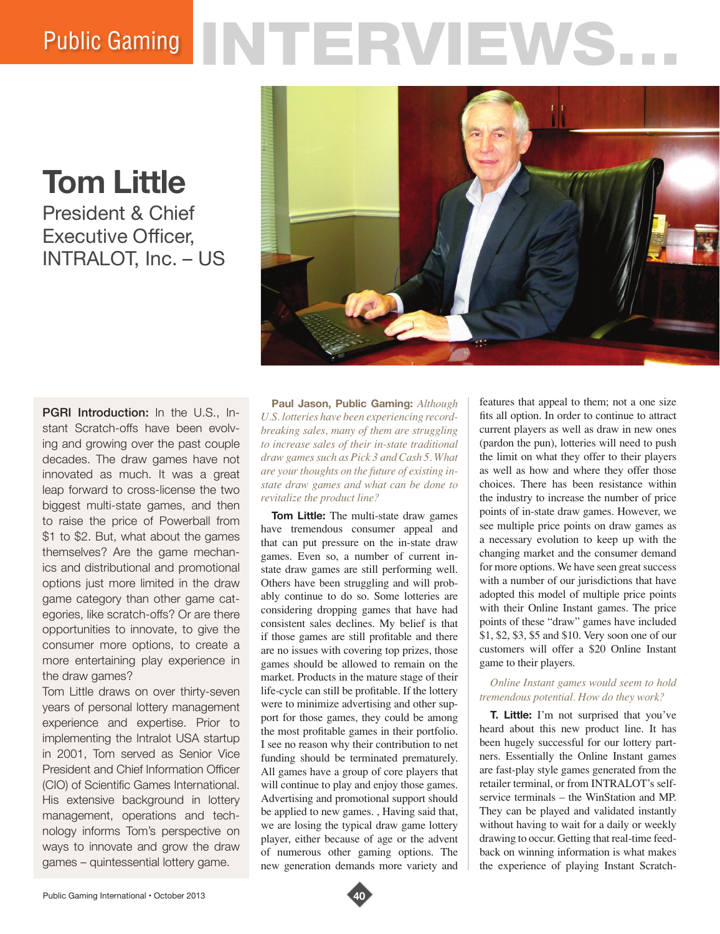## Public Gaming NTERVIEWS.

**Tom Little** President & Chief Executive Officer, INTRALOT, Inc. – US



PGRI Introduction: In the U.S., Instant Scratch-offs have been evolving and growing over the past couple decades. The draw games have not innovated as much. It was a great leap forward to cross-license the two biggest multi-state games, and then to raise the price of Powerball from \$1 to \$2. But, what about the games themselves? Are the game mechanics and distributional and promotional options just more limited in the draw game category than other game categories, like scratch-offs? Or are there opportunities to innovate, to give the consumer more options, to create a more entertaining play experience in the draw games?

Tom Little draws on over thirty-seven years of personal lottery management experience and expertise. Prior to implementing the Intralot USA startup in 2001, Tom served as Senior Vice President and Chief Information Officer (CIO) of Scientific Games International. His extensive background in lottery management, operations and technology informs Tom's perspective on ways to innovate and grow the draw games – quintessential lottery game.

**Paul Jason, Public Gaming:** *Although U.S. lotteries have been experiencing recordbreaking sales, many of them are struggling to increase sales of their in-state traditional draw games such as Pick 3 and Cash 5. What are your thoughts on the future of existing instate draw games and what can be done to revitalize the product line?* 

**Tom Little:** The multi-state draw games have tremendous consumer appeal and that can put pressure on the in-state draw games. Even so, a number of current instate draw games are still performing well. Others have been struggling and will probably continue to do so. Some lotteries are considering dropping games that have had consistent sales declines. My belief is that if those games are still profitable and there are no issues with covering top prizes, those games should be allowed to remain on the market. Products in the mature stage of their life-cycle can still be profitable. If the lottery were to minimize advertising and other support for those games, they could be among the most profitable games in their portfolio. I see no reason why their contribution to net funding should be terminated prematurely. All games have a group of core players that will continue to play and enjoy those games. Advertising and promotional support should be applied to new games. , Having said that, we are losing the typical draw game lottery player, either because of age or the advent of numerous other gaming options. The new generation demands more variety and

features that appeal to them; not a one size fits all option. In order to continue to attract current players as well as draw in new ones (pardon the pun), lotteries will need to push the limit on what they offer to their players as well as how and where they offer those choices. There has been resistance within the industry to increase the number of price points of in-state draw games. However, we see multiple price points on draw games as a necessary evolution to keep up with the changing market and the consumer demand for more options. We have seen great success with a number of our jurisdictions that have adopted this model of multiple price points with their Online Instant games. The price points of these "draw" games have included \$1, \$2, \$3, \$5 and \$10. Very soon one of our customers will offer a \$20 Online Instant game to their players.

## *Online Instant games would seem to hold tremendous potential. How do they work?*

**T. Little:** I'm not surprised that you've heard about this new product line. It has been hugely successful for our lottery partners. Essentially the Online Instant games are fast-play style games generated from the retailer terminal, or from INTRALOT's selfservice terminals – the WinStation and MP. They can be played and validated instantly without having to wait for a daily or weekly drawing to occur. Getting that real-time feedback on winning information is what makes the experience of playing Instant Scratch-

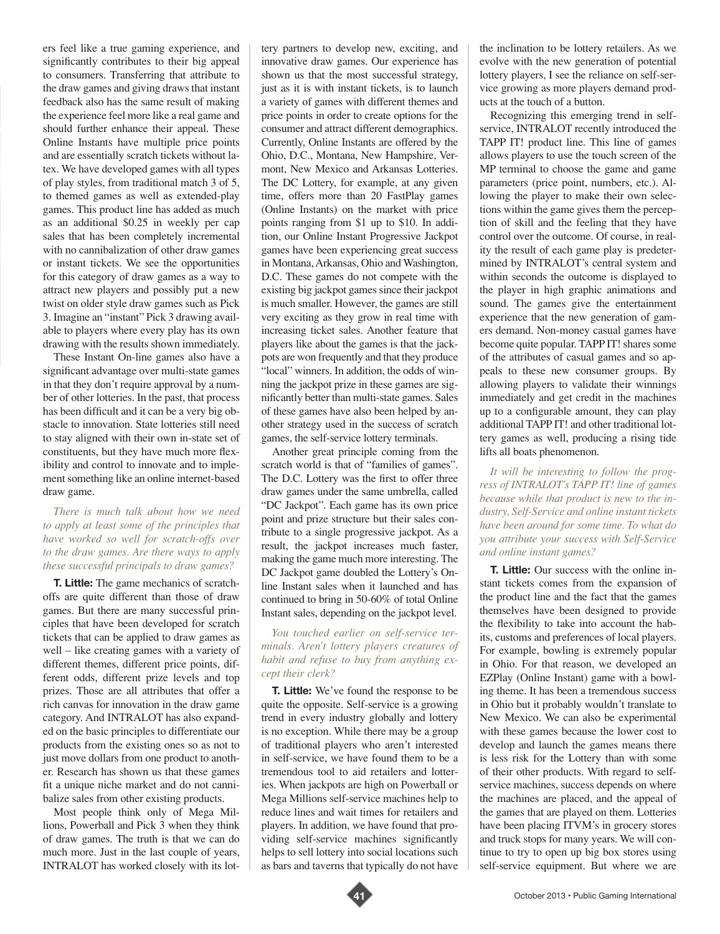ers feel like a true gaming experience, and significantly contributes to their big appeal to consumers. Transferring that attribute to the draw games and giving draws that instant feedback also has the same result of making the experience feel more like a real game and should further enhance their appeal. These Online Instants have multiple price points and are essentially scratch tickets without latex. We have developed games with all types of play styles, from traditional match 3 of 5, to themed games as well as extended-play games. This product line has added as much as an additional \$0.25 in weekly per cap sales that has been completely incremental with no cannibalization of other draw games or instant tickets. We see the opportunities for this category of draw games as a way to attract new players and possibly put a new twist on older style draw games such as Pick 3. Imagine an "instant" Pick 3 drawing available to players where every play has its own drawing with the results shown immediately.

These Instant On-line games also have a significant advantage over multi-state games in that they don't require approval by a number of other lotteries. In the past, that process has been difficult and it can be a very big obstacle to innovation. State lotteries still need to stay aligned with their own in-state set of constituents, but they have much more flexibility and control to innovate and to implement something like an online internet-based draw game.

## *There is much talk about how we need to apply at least some of the principles that have worked so well for scratch-offs over to the draw games. Are there ways to apply these successful principals to draw games?*

**T. Little:** The game mechanics of scratchoffs are quite different than those of draw games. But there are many successful principles that have been developed for scratch tickets that can be applied to draw games as well – like creating games with a variety of different themes, different price points, different odds, different prize levels and top prizes. Those are all attributes that offer a rich canvas for innovation in the draw game category. And INTRALOT has also expanded on the basic principles to differentiate our products from the existing ones so as not to just move dollars from one product to another. Research has shown us that these games fit a unique niche market and do not cannibalize sales from other existing products.

Most people think only of Mega Millions, Powerball and Pick 3 when they think of draw games. The truth is that we can do much more. Just in the last couple of years, INTRALOT has worked closely with its lottery partners to develop new, exciting, and innovative draw games. Our experience has shown us that the most successful strategy, just as it is with instant tickets, is to launch a variety of games with different themes and price points in order to create options for the consumer and attract different demographics. Currently, Online Instants are offered by the Ohio, D.C., Montana, New Hampshire, Vermont, New Mexico and Arkansas Lotteries. The DC Lottery, for example, at any given time, offers more than 20 FastPlay games (Online Instants) on the market with price points ranging from \$1 up to \$10. In addition, our Online Instant Progressive Jackpot games have been experiencing great success in Montana, Arkansas, Ohio and Washington, D.C. These games do not compete with the existing big jackpot games since their jackpot is much smaller. However, the games are still very exciting as they grow in real time with increasing ticket sales. Another feature that players like about the games is that the jackpots are won frequently and that they produce "local" winners. In addition, the odds of winning the jackpot prize in these games are significantly better than multi-state games. Sales of these games have also been helped by another strategy used in the success of scratch games, the self-service lottery terminals.

Another great principle coming from the scratch world is that of "families of games". The D.C. Lottery was the first to offer three draw games under the same umbrella, called "DC Jackpot". Each game has its own price point and prize structure but their sales contribute to a single progressive jackpot. As a result, the jackpot increases much faster, making the game much more interesting. The DC Jackpot game doubled the Lottery's Online Instant sales when it launched and has continued to bring in 50-60% of total Online Instant sales, depending on the jackpot level.

## *You touched earlier on self-service terminals. Aren't lottery players creatures of habit and refuse to buy from anything except their clerk?*

**T. Little:** We've found the response to be quite the opposite. Self-service is a growing trend in every industry globally and lottery is no exception. While there may be a group of traditional players who aren't interested in self-service, we have found them to be a tremendous tool to aid retailers and lotteries. When jackpots are high on Powerball or Mega Millions self-service machines help to reduce lines and wait times for retailers and players. In addition, we have found that providing self-service machines significantly helps to sell lottery into social locations such as bars and taverns that typically do not have

the inclination to be lottery retailers. As we evolve with the new generation of potential lottery players, I see the reliance on self-service growing as more players demand products at the touch of a button.

Recognizing this emerging trend in selfservice, INTRALOT recently introduced the TAPP IT! product line. This line of games allows players to use the touch screen of the MP terminal to choose the game and game parameters (price point, numbers, etc.). Allowing the player to make their own selections within the game gives them the perception of skill and the feeling that they have control over the outcome. Of course, in reality the result of each game play is predetermined by INTRALOT's central system and within seconds the outcome is displayed to the player in high graphic animations and sound. The games give the entertainment experience that the new generation of gamers demand. Non-money casual games have become quite popular. TAPP IT! shares some of the attributes of casual games and so appeals to these new consumer groups. By allowing players to validate their winnings immediately and get credit in the machines up to a configurable amount, they can play additional TAPP IT! and other traditional lottery games as well, producing a rising tide lifts all boats phenomenon.

*It will be interesting to follow the progress of INTRALOT's TAPP IT! line of games because while that product is new to the industry, Self-Service and online instant tickets have been around for some time. To what do you attribute your success with Self-Service and online instant games?* 

**T. Little:** Our success with the online instant tickets comes from the expansion of the product line and the fact that the games themselves have been designed to provide the flexibility to take into account the habits, customs and preferences of local players. For example, bowling is extremely popular in Ohio. For that reason, we developed an EZPlay (Online Instant) game with a bowling theme. It has been a tremendous success in Ohio but it probably wouldn't translate to New Mexico. We can also be experimental with these games because the lower cost to develop and launch the games means there is less risk for the Lottery than with some of their other products. With regard to selfservice machines, success depends on where the machines are placed, and the appeal of the games that are played on them. Lotteries have been placing ITVM's in grocery stores and truck stops for many years. We will continue to try to open up big box stores using self-service equipment. But where we are